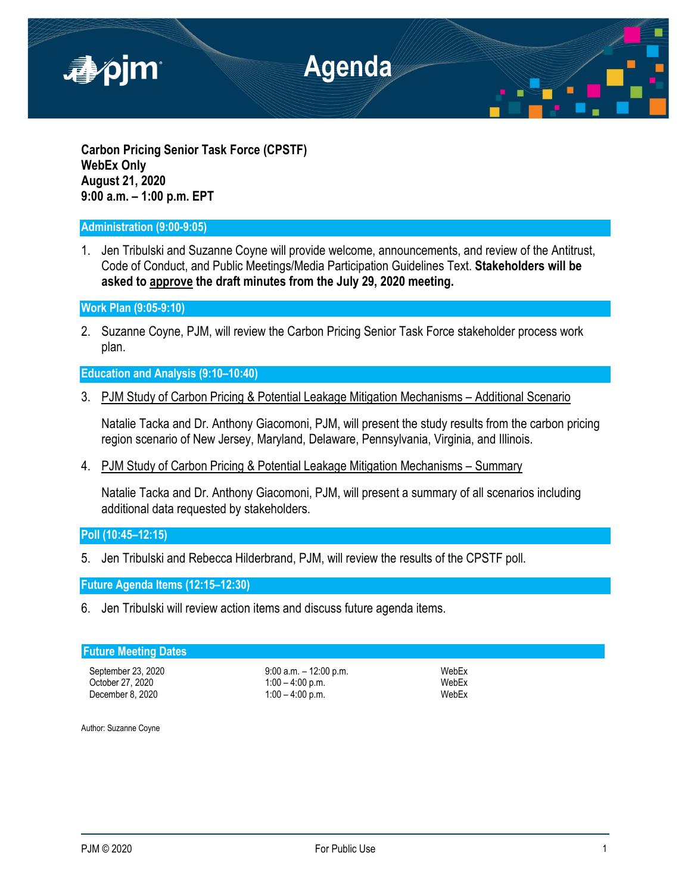

**Carbon Pricing Senior Task Force (CPSTF) WebEx Only August 21, 2020 9:00 a.m. – 1:00 p.m. EPT**

## **Administration (9:00-9:05)**

1. Jen Tribulski and Suzanne Coyne will provide welcome, announcements, and review of the Antitrust, Code of Conduct, and Public Meetings/Media Participation Guidelines Text. **Stakeholders will be asked to approve the draft minutes from the July 29, 2020 meeting.**

**Work Plan (9:05-9:10)**

2. Suzanne Coyne, PJM, will review the Carbon Pricing Senior Task Force stakeholder process work plan.

**Education and Analysis (9:10–10:40)**

3. PJM Study of Carbon Pricing & Potential Leakage Mitigation Mechanisms – Additional Scenario

Natalie Tacka and Dr. Anthony Giacomoni, PJM, will present the study results from the carbon pricing region scenario of New Jersey, Maryland, Delaware, Pennsylvania, Virginia, and Illinois.

4. PJM Study of Carbon Pricing & Potential Leakage Mitigation Mechanisms – Summary

Natalie Tacka and Dr. Anthony Giacomoni, PJM, will present a summary of all scenarios including additional data requested by stakeholders.

# **Poll (10:45–12:15)**

5. Jen Tribulski and Rebecca Hilderbrand, PJM, will review the results of the CPSTF poll.

**Future Agenda Items (12:15–12:30)**

6. Jen Tribulski will review action items and discuss future agenda items.

## **Future Meeting Dates**

September 23, 2020 9:00 a.m. – 12:00 p.m.<br>
9:00 a.m. – 12:00 p.m. 9:00 p.m. WebEx October 27, 2020 1:00 – 4:00 p.m. WebEx<br>December 8. 2020 1:00 – 4:00 p.m. WebEx  $1:00 - 4:00 \text{ p.m.}$ 

Author: Suzanne Coyne